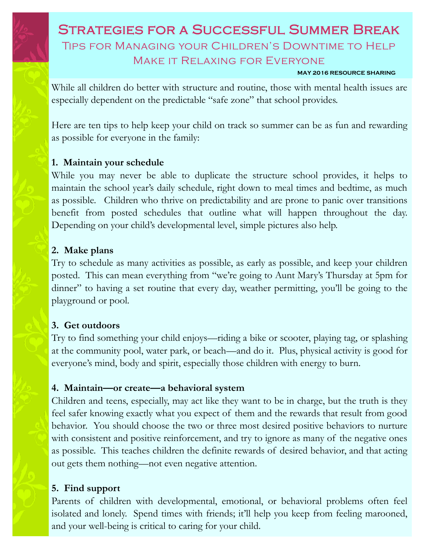# Strategies for a Successful Summer Break Tips for Managing your Children's Downtime to Help Make it Relaxing for Everyone

#### **MAY 2016 RESOURCE SHARING**

While all children do better with structure and routine, those with mental health issues are especially dependent on the predictable "safe zone" that school provides.

Here are ten tips to help keep your child on track so summer can be as fun and rewarding as possible for everyone in the family:

### **1. Maintain your schedule**

While you may never be able to duplicate the structure school provides, it helps to maintain the school year's daily schedule, right down to meal times and bedtime, as much as possible.Children who thrive on predictability and are prone to panic over transitions benefit from posted schedules that outline what will happen throughout the day. Depending on your child's developmental level, simple pictures also help.

### **2. Make plans**

Try to schedule as many activities as possible, as early as possible, and keep your children posted. This can mean everything from "we're going to Aunt Mary's Thursday at 5pm for dinner" to having a set routine that every day, weather permitting, you'll be going to the playground or pool.

### **3. Get outdoors**

Try to find something your child enjoys—riding a bike or scooter, playing tag, or splashing at the community pool, water park, or beach—and do it. Plus, physical activity is good for everyone's mind, body and spirit, especially those children with energy to burn.

### **4. Maintain—or create—a behavioral system**

Children and teens, especially, may act like they want to be in charge, but the truth is they feel safer knowing exactly what you expect of them and the rewards that result from good behavior. You should choose the two or three most desired positive behaviors to nurture with consistent and positive reinforcement, and try to ignore as many of the negative ones as possible. This teaches children the definite rewards of desired behavior, and that acting out gets them nothing—not even negative attention.

### **5. Find support**

Parents of children with developmental, emotional, or behavioral problems often feel isolated and lonely. Spend times with friends; it'll help you keep from feeling marooned, and your well-being is critical to caring for your child.